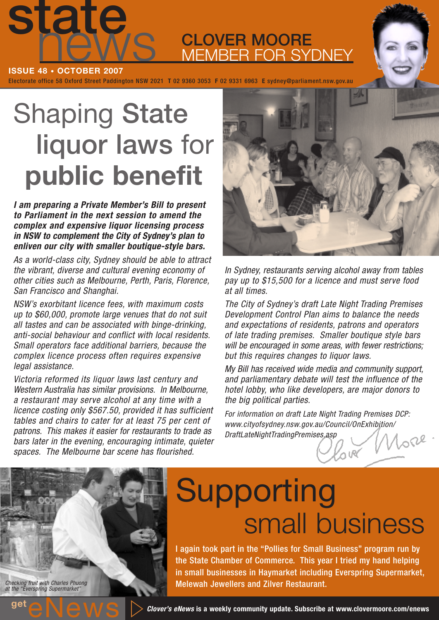

**CLOVER MOORE** MEMBER FOR SYDNEY

Electorate office 58 Oxford Street Paddington NSW 2021 **T** 02 9360 3053 **F** 02 9331 6963 **E** sydney@parliament.nsw.gov.au **ISSUE 48 • OCTOBER 2007**

# Shaping **State liquor laws** for **public benefit**

**I am preparing a Private Member's Bill to present to Parliament in the next session to amend the complex and expensive liquor licensing process in NSW to complement the City of Sydney's plan to enliven our city with smaller boutique-style bars.**

As a world-class city, Sydney should be able to attract the vibrant, diverse and cultural evening economy of other cities such as Melbourne, Perth, Paris, Florence, San Francisco and Shanghai.

NSW's exorbitant licence fees, with maximum costs up to \$60,000, promote large venues that do not suit all tastes and can be associated with binge-drinking, anti-social behaviour and conflict with local residents. Small operators face additional barriers, because the complex licence process often requires expensive legal assistance.

Victoria reformed its liquor laws last century and Western Australia has similar provisions. In Melbourne, a restaurant may serve alcohol at any time with a licence costing only \$567.50, provided it has sufficient tables and chairs to cater for at least 75 per cent of patrons. This makes it easier for restaurants to trade as bars later in the evening, encouraging intimate, quieter spaces. The Melbourne bar scene has flourished.



In Sydney, restaurants serving alcohol away from tables pay up to \$15,500 for a licence and must serve food at all times.

The City of Sydney's draft Late Night Trading Premises Development Control Plan aims to balance the needs and expectations of residents, patrons and operators of late trading premises. Smaller boutique style bars will be encouraged in some areas, with fewer restrictions; but this requires changes to liquor laws.

My Bill has received wide media and community support, and parliamentary debate will test the influence of the hotel lobby, who like developers, are major donors to the big political parties.

For information on draft Late Night Trading Premises DCP: www.cityofsydney.nsw.gov.au/Council/OnExhibition/ DraftLateNightTradingPremises.asp ore

# Checking fruit with Charles Phuong at the "Everspring Supermarket"

# Supporting small business

I again took part in the "Pollies for Small Business" program run by the State Chamber of Commerce. This year I tried my hand helping in small businesses in Haymarket including Everspring Supermarket, Melewah Jewellers and Zilver Restaurant.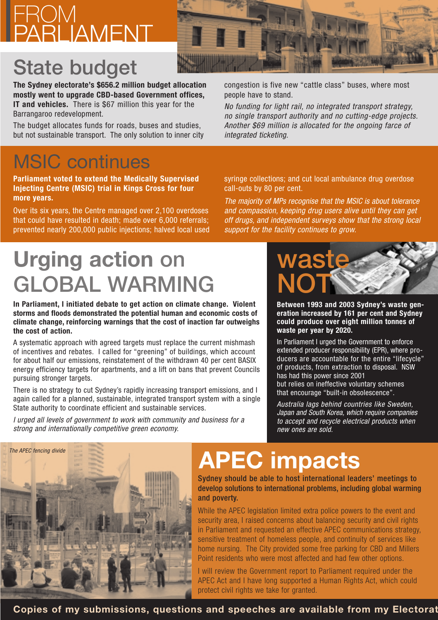#### FROM PARLIAMENT

#### **State budget**

**The Sydney electorate's \$656.2 million budget allocation mostly went to upgrade CBD-based Government offices, IT and vehicles.** There is \$67 million this year for the Barrangaroo redevelopment.

The budget allocates funds for roads, buses and studies, but not sustainable transport. The only solution to inner city

#### MSIC continues

**Parliament voted to extend the Medically Supervised Injecting Centre (MSIC) trial in Kings Cross for four more years.**

Over its six years, the Centre managed over 2,100 overdoses that could have resulted in death; made over 6,000 referrals; prevented nearly 200,000 public injections; halved local used

## **Urging action on GLOBAL WARMING**

**In Parliament, I initiated debate to get action on climate change. Violent storms and floods demonstrated the potential human and economic costs of climate change, reinforcing warnings that the cost of inaction far outweighs the cost of action.**

A systematic approach with agreed targets must replace the current mishmash of incentives and rebates. I called for "greening" of buildings, which account for about half our emissions, reinstatement of the withdrawn 40 per cent BASIX energy efficiency targets for apartments, and a lift on bans that prevent Councils pursuing stronger targets.

There is no strategy to cut Sydney's rapidly increasing transport emissions, and I again called for a planned, sustainable, integrated transport system with a single State authority to coordinate efficient and sustainable services.

I urged all levels of government to work with community and business for a strong and internationally competitive green economy.



congestion is five new "cattle class" buses, where most people have to stand.

No funding for light rail, no integrated transport strategy, no single transport authority and no cutting-edge projects. Another \$69 million is allocated for the ongoing farce of integrated ticketing.

syringe collections; and cut local ambulance drug overdose call-outs by 80 per cent.

The majority of MPs recognise that the MSIC is about tolerance and compassion, keeping drug users alive until they can get off drugs, and independent surveys show that the strong local support for the facility continues to grow.



**Between 1993 and 2003 Sydney's waste generation increased by 161 per cent and Sydney could produce over eight million tonnes of waste per year by 2020.**

In Parliament I urged the Government to enforce extended producer responsibility (EPR), where producers are accountable for the entire "lifecycle" of products, from extraction to disposal. NSW has had this power since 2001 but relies on ineffective voluntary schemes that encourage "built-in obsolescence".

Australia lags behind countries like Sweden, Japan and South Korea, which require companies to accept and recycle electrical products when new ones are sold.



# **APEC impacts**

Sydney should be able to host international leaders' meetings to develop solutions to international problems, including global warming and poverty.

While the APEC legislation limited extra police powers to the event and security area, I raised concerns about balancing security and civil rights in Parliament and requested an effective APEC communications strategy, sensitive treatment of homeless people, and continuity of services like home nursing. The City provided some free parking for CBD and Millers Point residents who were most affected and had few other options.

I will review the Government report to Parliament required under the APEC Act and I have long supported a Human Rights Act, which could protect civil rights we take for granted.

**Copies of my submissions, questions and speeches are available from my Electorat**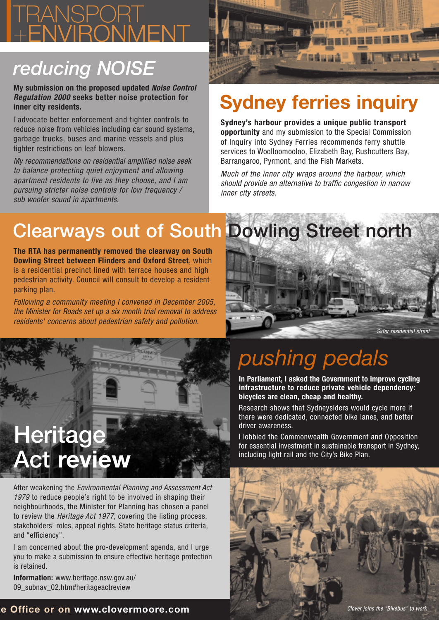#### TRANSPORT +ENVIRONMENT

#### *reducing NOISE*

**My submission on the proposed updated Noise Control Regulation 2000 seeks better noise protection for inner city residents.**

I advocate better enforcement and tighter controls to reduce noise from vehicles including car sound systems, garbage trucks, buses and marine vessels and plus tighter restrictions on leaf blowers.

My recommendations on residential amplified noise seek to balance protecting quiet enjoyment and allowing apartment residents to live as they choose, and I am pursuing stricter noise controls for low frequency / sub woofer sound in apartments.



#### **Sydney ferries inquiry**

**Sydney's harbour provides a unique public transport opportunity** and my submission to the Special Commission of Inquiry into Sydney Ferries recommends ferry shuttle services to Woolloomooloo, Elizabeth Bay, Rushcutters Bay, Barrangaroo, Pyrmont, and the Fish Markets.

Much of the inner city wraps around the harbour, which should provide an alternative to traffic congestion in narrow inner city streets.

#### **Clearways out of South Dowling Street north**

**The RTA has permanently removed the clearway on South Dowling Street between Flinders and Oxford Street**, which is a residential precinct lined with terrace houses and high pedestrian activity. Council will consult to develop a resident parking plan.

Following a community meeting I convened in December 2005, the Minister for Roads set up a six month trial removal to address residents' concerns about pedestrian safety and pollution.





After weakening the Environmental Planning and Assessment Act 1979 to reduce people's right to be involved in shaping their neighbourhoods, the Minister for Planning has chosen a panel to review the Heritage Act 1977, covering the listing process, stakeholders' roles, appeal rights, State heritage status criteria, and "efficiency".

I am concerned about the pro-development agenda, and I urge you to make a submission to ensure effective heritage protection is retained.

**Information:** www.heritage.nsw.gov.au/ 09\_subnav\_02.htm#heritageactreview

## *pushing pedals*

**In Parliament, I asked the Government to improve cycling infrastructure to reduce private vehicle dependency: bicycles are clean, cheap and healthy.**

Research shows that Sydneysiders would cycle more if there were dedicated, connected bike lanes, and better driver awareness.

I lobbied the Commonwealth Government and Opposition for essential investment in sustainable transport in Sydney, including light rail and the City's Bike Plan.